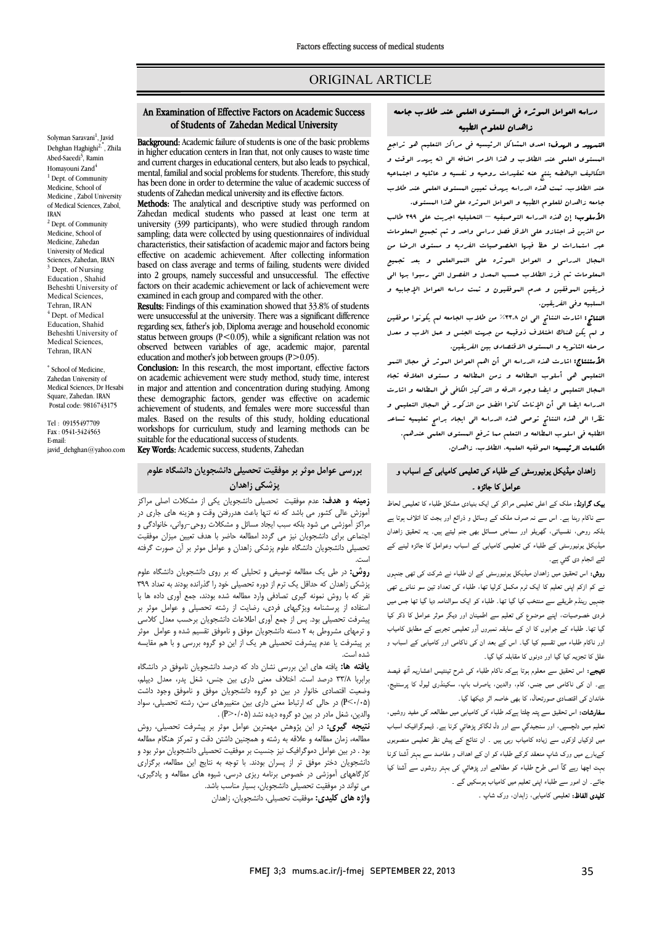# ORIGINAL ARTICLE

## دراسه العوامل الموثره فی المستوي العلمی عند طلاب جامعه زاهدان للعلوم الطبیه

Ī ֦

ا**لتسهید و الهدف:** احدی المشاکل الرئیسیه فی مراکز التعلیم هو تراجع<br>. البستون التکنی عند العلاب و عدا الامر الثالث الی اله بیور الوثب و<br>التکالیف الباهضه ینتج عنه تنقیدات روحیه و نفسیه و عائلیه و اجتماعیه عند الطلاب. تمت هذه الدراسه بهدف تعیین المستوي العلمی عند طلاب جامعه زاهدان للعلوم الطبیه و العوامل الموثره علی هذا المستوي. المستوي العلمی عند الطلاب و هذا الامر اضافه الی انه یهدر الوقت و

 الأسلوب: إن هذه الدراسه التوصیفیه – التحلیلیه اجریت علی 399 طالب من الذین قد اجتازو علی الاقل فصل دراسی واحد و تم تجمیع المعلومات عبر استمارات لو حظ فیها الخصوصیات الفردیه و مستوي الرضا من المجال الدراسی و العوامل الموثره علی النموالعلمی و بعد تجمیع المعلومات تم فرز الطلاب حسب المعدل و الفصول التی رسبوا بها الی فریقین الموفقین و عدم الموفقیون و تمت دراسه العوامل الإجابیه و السلبیه وفی الفریقین.

النسببیه ومی الفریقین.<br>**النتائج:** اشارت النتائج الی ان ٣٦.٨% من طلاب الجامعه لم یکونوا موفقین استعج استان استعج کی از استاد کسی کنید.<br>و لم یکن هناك اختلاف ذوقیمه من جهت الجنس و عمل الاب و معدل مرحله الثانویه و المستوي الاقتصادي بین الفریقین.

 الأستنتاج: اشارت هذه الدراسه الی أن اهم العوامل الموثر فی مجال النمو التعلیمی هی أسلوب المطالعه و زمن المطالعه و مستوي العلاقه تجاه المجال التعلیمی و ایضا وجود الدقه و الترکیز الکافی فی المطالعه و اشارت الدراسه ایضا الی أن الإناث کانوا افضل من الذکور فی المجال التعلیمی و نظرا الی هذه النتائج توصی هذه الدراسه الی ایجاد برامج تعلیمیه تساعد الطلبه فی اسلوب المطالعه و التعلم مما ترفع المستوي العلمی عندهم. ا**لکلمات الرئیسیه:** الموفقیه العلمیه، الطلاب. زاهدان.<br>.

## زاھدان میڈیکل یونیورسٹی کے طلباء کی تعلیمی کامیابی کے اسباب و عوامل کا جائزہ ۔

**یک گراونڈ:** ملک کے اعلی تعلیمی مراکز کی ایک بنیادی مشکل طلباء کا تعلیمی لحاظ سے ناکام رہنا ہے۔ اس سے نہ صرف ملک کے وسائل و ذرائع اور بجٹ کا اتلاف ہوتا ہے بلکہ روحی، نفسیاتی، گھریلو اور سماجی مسائل بھی جنم لیتے ہیں۔ یہ تحقیق زاہدان میڈیکل یونیورسٹی کے طلباء کی تعلیمی کامیابی کے اسباب وعوامل کا جائزہ لینے کے<br>۔ لئے انجام دی گئي ہے۔

تے اس م دی تتی ہے.<br>**روش:** اس تحقیق میں زاہدان میڈیکل یونیورسٹی کے ان طلباء نے شرکت کی تھی جنہوں ریں۔ ان سے اس میں اس میں اس میں اس کے اس میں اس میں اس میں اس میں اس میں اس میں اس میں اس میں اس میں اس میں اس<br>اسے کم ازکم اپنی تعلیم کا ایک ٹرم مکمل کرلیا تھا، طلباء کی تعداد تین سو ننانوے تھی ۔<br>منہیں رینڈم طریقے سے منتخب کیا گیا تھا۔ طلباء کو ایک سوالنامہ دیا گیا تھا جس میں .<br>نردی خصوصیات، اپنے موضوع کی تعلیم سے اطمینان اور دیگر موثر عوامل کا ذکر کیا گیا تھا۔ طلباء کے جوابوں کا ان کے سابقہ نمبروں آور تعلیمی تجربے کے مطابق کامیاب ور ناکام طلباء میں تقسیم کیا گیا۔ اس کے بعد ان کی ناکامی اور کامیابی کے اسباب و ملل کا تجزیہ کیا گیا اور دونوں کا مقابلہ کیا گیا۔<br>۔

**سیجے.** اس معین سے معلوم ہوں ہے تہ نامہ علیہء کی سرح نیسیس احساریہ اُٹھ ٹیصد<br>ے۔ ان کی ناکامی میں جنس، کام، والدین، یاصرف باپ، سکینڈری لیول کا پرسنٹیج، ے مسمول کی ہیں . اس سے اس سے اس سے اس سے اس سے بہار<br>خاندان کی اقتصادی صورتحال، کا بھی خاصہ اثر دیکھا گیا۔ **نتیجے:** اس تحقیق سے معلوم ہوتا ہےکہ ناکام طلباء کی شرح تینتیس اعشاریہ آئھ فیصد

**سفارشات:** اس تحقیق سے پتہ چلتا ہےکہ طلباء کی کامیابی میں مطالعہ کی مفید روشیں، ۔<br>نعلیم میں دلچسپی، اور سنجیدگی سے اور دل لگاکر پڑھائی کرنا ہے۔ ڈیموگرافیک اسباب میں لڑکیاں لڑکوں سے زیادہ کامیاب رہی ہیں ۔ ان نتائج کے پیش نظر تعلیمی منصوبوں کےبارے میں ورک شاپ منعقد کرکے طلباء کو ان کے اہداف و مقاصد سے بہتر آشنا کرنا مہت اچھا رہے گا اسی طرح طلباء کو مطالعے اور پڑھائي کی بہتر روشوں سے آشنا کیا ۔<br>۔ Ĩ, جائے۔ ان امور سے طلباء اپنی تعلیم میں کامیاب ہوسکیں گے ۔

**کلیدی الفاظ:** تعلیمی کامیابی، زاہدان، ورک شاپ ۔<br>۔

### of Students of Zahedan Medical University An Examination of Effective Factors on Academic Success

Ī 

 Background: Academic failure of students is one of the basic problems in higher education centers in Iran that, not only causes to waste time and current charges in educational centers, but also leads to psychical, has been done in order to determine the value of academic success of students of Zahedan medical university and its effective factors.<br>Methods: The apolytical and descriptive study was performed mental, familial and social problems for students. Therefore, this study Methods: The analytical and descriptive study was performed on

 Zahedan medical students who passed at least one term at sampling; data were collected by using questionnaires of individual characteristics, their satisfaction of academic major and factors being based on class average and terms of failing, students were divided into 2 groups, namely successful and unsuccessful. The effective examined in each group and compared with the other. university (399 participants), who were studied through random effective on academic achievement. After collecting information factors on their academic achievement or lack of achievement were

Results: Findings of this examination showed that 33.8% of students<br>were uncused in the university. There we a similar tifference regarding sex, father's job, Diploma average and household economic status between groups  $(P<0.05)$ , while a significant relation was not<br>observed between variables of age academic major parental education and mother's job between groups (P>0.05). were unsuccessful at the university. There was a significant difference observed between variables of age, academic major, parental

**CONCLUSION:** In this research, the most important, enective factors on academic achievement were study method, study time, interest in major and attention and concentration during studying. Among achievement of students, and females were more successful than males. Based on the results of this study, holding educational suitable for the educational success of students. Conclusion: In this research, the most important, effective factors these demographic factors, gender was effective on academic workshops for curriculum, study and learning methods can be

Key Words: Academic success, students, Zahedan

## **بررسی عوامل موثر بر موفقیت تحصیلی دانشجویان دانشگاه علوم پزشکی زاهدان**

 **زمینه و هدف:** عدم موفقیت تحصیلی دانشجویان یکی از مشکلات اصلی مراکز آموزش عالی کشور می باشد که نه تنها باعث هدررفتن وقت و هزینه هاي جاري در اجتماعی براي دانشجویان نیز می گردد امطالعه حاضر با هدف تعیین میزان موفقیت تحصیلی دانشجویان دانشگاه علوم پزشکی زاهدان و عوامل موثر بر آن صورت گرفته مراکز آموزشی می شود بلکه سبب ایجاد مسائل و مشکلات روحی-روانی، خانوادگی و است.

 **روش:** در طی یک مطالعه توصیفی و تحلیلی که بر روي دانشجویان دانشگاه علوم پزشکی زاهدان که حداقل یک ترم از دوره تحصیلی خود را گذرانده بودند به تعداد 399 نفر که با روش نمونه گیري تصادفی وارد مطالعه شده بودند، جمع آوري داده ها با ستفاده از پرسشنامه ویژگیهای فردی، رضایت از رشته تحصیلی و عوامل موثر بر<br>شرفت تعمیل مدیر از مصدق از مطالعت دانشهای مصدق بر مصدق ایران و ترمهاي مشروطی به 2 دسته دانشجویان موفق و ناموفق تقسیم شده و عوامل موثر بر پیشرفت یا عدم پیشرفت تحصیلی هر یک از این دو گروه بررسی و با هم مقایسه پیشرفت تحصیلی بود. پس از جمع آوري اطلاعات دانشجویان برحسب معدل کلاسی شده است.

 **یافته ها:** یافته هاي این بررسی نشان داد که درصد دانشجویان ناموفق در دانشگاه برابربا 33/8 درصد است. اختلاف معنی داري بین جنس، شغل پدر، معدل دیپلم، وضعیت اقتصادي خانوار در بین دو گروه دانشجویان موفق و ناموفق وجود داشت <sub>(۱</sub>۰۰٬۰۰۰) در حالی که ارتباط معنی داری بین منعییرهای<br>والدین، شغل مادر در بین دو گروه دیده نشد (P>۰/۰۵) . (0/05>P (در حالی که ارتباط معنی داري بین متغییرهاي سن، رشته تحصیلی، سواد

 **نتیجه گیري:** در این پژوهش مهمترین عوامل موثر بر پیشرفت تحصیلی، روش مطالعه، زمان مطالعه و علاقه به رشته و همچنین داشتن دقت و تمرکز هنگام مطالعه بود . در بین عوامل دمو ترافیت تیز جسیت بر موفقیت تخصینی دانسجویان موتر بود و<br>دانشجویان دختر موفق تر از پسران بودند. با توجه به نتایج این مطالعه، برگزاری کارگاههاي آموزشی در خصوص برنامه ریزي درسی، شیوه هاي مطالعه و یادگیري، می تواند در موفقیت تحصیلی دانشجویان، بسیار مناسب باشد. **واژه هاي کلیدي:** موفقیت تحصیلی، دانشجویان، زاهدان بود . در بین عوامل دموگرافیک نیز جنسیت بر موفقیت تحصیلی دانشجویان موثر بود و

Solyman Saravani<sup>1</sup>, Javid Dehghan Haghighi<sup>2,\*</sup>, Zhila Abed-Saeedi<sup>3</sup>, Ramin Homayouni Zand<sup>4</sup> <sup>1</sup> Dept. of Community Medicine, School of Medicine , Zabol University of Medical Sciences, Zabol, IRAN <sup>2</sup> Dept. of Community Medicine, School of Medicine, Zahedan University of Medical Sciences, Zahedan, IRAN <sup>3</sup> Dept. of Nursing Education , Shahid Beheshti University of Medical Sciences, Tehran, IRAN <sup>4</sup> Dept. of Medical Education, Shahid Beheshti University of Medical Sciences, Tehran, IRAN

\* School of Medicine, Zahedan University of Medical Sciences, Dr Hesabi Square, Zahedan. IRAN Postal code: 9816743175

Tel : 09155497709 Fax : 0541-3424563 E-mail: javid\_dehghan@yahoo.com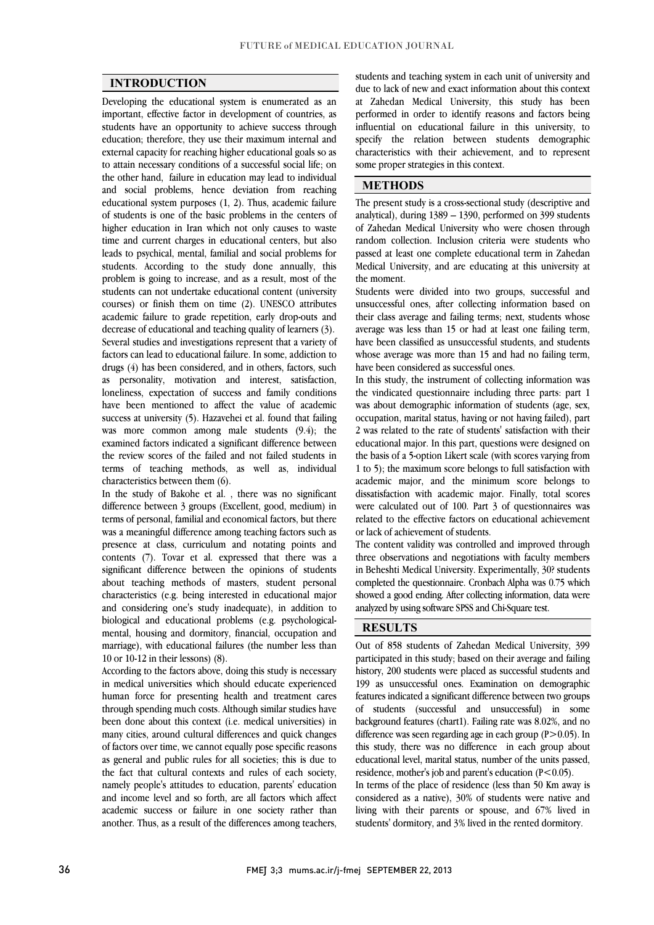$\overline{a}$  $\overline{a}$ 

### **INTRODUCTION**

 Developing the educational system is enumerated as an important, effective factor in development of countries, as education; therefore, they use their maximum internal and external capacity for reaching higher educational goals so as to attain necessary conditions of a successful social life; on the other hand, failure in education may lead to individual educational system purposes (1, 2). Thus, academic failure of students is one of the basic problems in the centers of higher education in Iran which not only causes to waste time and current charges in educational centers, but also students. According to the study done annually, this problem is going to increase, and as a result, most of the students can not undertake educational content (university courses) or finish them on time (2). UNESCO attributes decrease of educational and teaching quality of learners (3). Several studies and investigations represent that a variety of factors can lead to educational failure. In some, addiction to arial extensive term considered, and in outers, ractors, such<br>as personality, motivation and interest, satisfaction, loneliness, expectation of success and family conditions have been mentioned to affect the value of academic success at university (5). Hazavehei et al. found that failing was more common among mate statents  $(2.4)$ , the examined factors indicated a significant difference between the review scores of the failed and not failed students in terms of teaching methods, as well as, individual students have an opportunity to achieve success through and social problems, hence deviation from reaching leads to psychical, mental, familial and social problems for academic failure to grade repetition, early drop-outs and drugs (4) has been considered, and in others, factors, such was more common among male students (9.4); the characteristics between them (6).

characteristics between them (6).<br>In the study of Bakohe et al. , there was no significant difference between 3 groups (Excellent, good, medium) in terms of personal, familial and economical factors, but there was a meaningful difference among teaching factors such as presence at class, curriculum and notating points and significant difference between the opinions of students about teaching methods of masters, student personal characteristics (e.g. being interested in educational major biological and educational problems (e.g. psychological- mental, housing and dormitory, financial, occupation and marriage), with educational failures (the number less than contents (7). Tovar et al. expressed that there was a and considering one's study inadequate), in addition to 10 or 10-12 in their lessons) (8).

According to the factors above, doing this study is necessary<br>in modical vairantities which should educate experienced human force for presenting health and treatment cares through spending much costs. Although similar studies have been done about this context (i.e. medical universities) in of factors over time, we cannot equally pose specific reasons as general and public rules for all societies; this is due to the fact that cultural contexts and rules of each society, namely people's attitudes to education, parents' education and meone ever and so forth, are an factors which affect<br>academic success or failure in one society rather than another. Thus, as a result of the differences among teachers, in medical universities which should educate experienced many cities, around cultural differences and quick changes and income level and so forth, are all factors which affect

 due to lack of new and exact information about this context at Zahedan Medical University, this study has been performed in order to identify reasons and factors being specify the relation between students demographic characteristics with their achievement, and to represent students and teaching system in each unit of university and influential on educational failure in this university, to some proper strategies in this context.

### **METHODS**

 The present study is a cross-sectional study (descriptive and analytical), during 1389 – 1390, performed on 399 students of Zahedan Medical University who were chosen through passed at least one complete educational term in Zahedan Medical University, and are educating at this university at random collection. Inclusion criteria were students who the moment.

 Students were divided into two groups, successful and their class average and failing terms; next, students whose average was less than 15 or had at least one failing term, have been classified as unsuccessful students, and students whose average was more than 15 and had no failing term, unsuccessful ones, after collecting information based on have been considered as successful ones.

In this study, the instrument of collecting information was the vindicated questionnaire including three parts: part 1 was about demographic information of students (age, sex, occupation, marital status, having or not having failed), part educational major. In this part, questions were designed on the basis of a 5-option Likert scale (with scores varying from 1 to 5); the maximum score belongs to full satisfaction with academic major, and the minimum score belongs to were calculated out of 100. Part 3 of questionnaires was related to the effective factors on educational achievement 2 was related to the rate of students' satisfaction with their dissatisfaction with academic major. Finally, total scores or lack of achievement of students.

three observations and negotiations with faculty members in Beheshti Medical University. Experimentally, 30? students completed the questionnaire. Cronbach Alpha was 0.75 which showed a good ending. After collecting information, data were  $\overline{a}$ The content validity was controlled and improved through analyzed by using software SPSS and Chi-Square test.

 $\overline{a}$ 

## **RESULTS**

 Out of 858 students of Zahedan Medical University, 399 participated in this study; based on their average and failing 199 as unsuccessful ones. Examination on demographic features indicated a significant difference between two groups of students (successful and unsuccessful) in some background features (chart1). Failing rate was 8.02%, and no this study, there was no difference in each group about educational level, marital status, number of the units passed, residence, mother's job and parent's education ( $P < 0.05$ ).<br>In terms of the place of residence (less than 50 Km away is living with their parents or spouse, and 67% lived in history, 200 students were placed as successful students and difference was seen regarding age in each group  $(P>0.05)$ . In considered as a native), 30% of students were native and

students' dormitory, and 3% lived in the rented dormitory.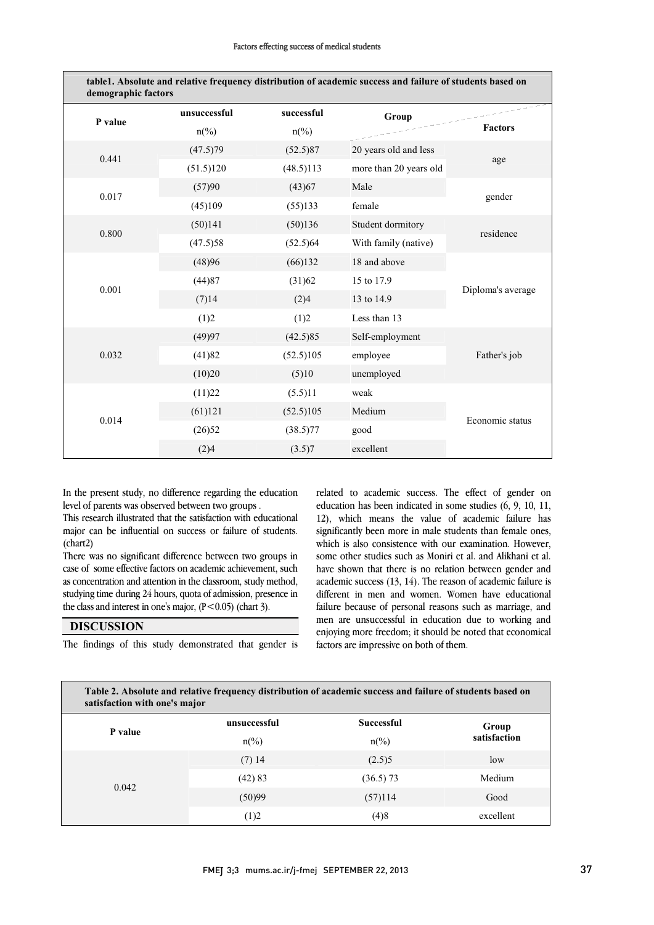| demographic factors |                  |                          | table1. Absolute and relative frequency distribution of academic success and failure of students based on |                   |  |
|---------------------|------------------|--------------------------|-----------------------------------------------------------------------------------------------------------|-------------------|--|
| P value             | unsuccessful     | successful               | Group                                                                                                     |                   |  |
|                     | $n\frac{\%}{\ }$ | $n\frac{\omega}{\omega}$ |                                                                                                           | <b>Factors</b>    |  |
| 0.441               | (47.5)79         | (52.5)87                 | 20 years old and less                                                                                     | age               |  |
|                     | (51.5)120        | (48.5)113                | more than 20 years old                                                                                    |                   |  |
| 0.017               | (57)90           | (43)67                   | Male                                                                                                      | gender            |  |
|                     | (45)109          | (55)133                  | female                                                                                                    |                   |  |
| 0.800               | (50)141          | (50)136                  | Student dormitory                                                                                         | residence         |  |
|                     | (47.5)58         | (52.5)64                 | With family (native)                                                                                      |                   |  |
| 0.001               | (48)96           | (66)132                  | 18 and above                                                                                              |                   |  |
|                     | (44)87           | (31)62                   | 15 to 17.9                                                                                                |                   |  |
|                     | (7)14            | (2)4                     | 13 to 14.9                                                                                                | Diploma's average |  |
|                     | (1)2             | (1)2                     | Less than 13                                                                                              |                   |  |
| 0.032               | (49)97           | (42.5)85                 | Self-employment                                                                                           | Father's job      |  |
|                     | (41)82           | (52.5)105                | employee                                                                                                  |                   |  |
|                     | (10)20           | (5)10                    | unemployed                                                                                                |                   |  |
| 0.014               | (11)22           | (5.5)11                  | weak                                                                                                      | Economic status   |  |
|                     | (61)121          | (52.5)105                | Medium                                                                                                    |                   |  |
|                     | (26)52           | (38.5)77                 | good                                                                                                      |                   |  |
|                     | (2)4             | (3.5)7                   | excellent                                                                                                 |                   |  |

J In the present study, no difference regarding the education<br>level of parents was observed between two groups level of parents was observed between two groups .

 This research illustrated that the satisfaction with educational major can be influential on success or failure of students. (chart2)

 There was no significant difference between two groups in case of some effective factors on academic achievement, such as concentration and attention in the classroom, study method, studying time during 24 hours, quota of admission, presence in  $\overline{a}$ the class and interest in one's major,  $(P < 0.05)$  (chart 3).

### **DISCUSSION**

The findings of this study demonstrated that gender is

 related to academic success. The effect of gender on education has been indicated in some studies  $(6, 9, 10, 11,$  12), which means the value of academic failure has significantly been more in male students than female ones, which is also consistence with our examination. However, some other studies such as Moniri et al. and Alikhani et al. have shown that there is no relation between gender and academic success (13, 14). The reason of academic failure is different in men and women. Women have educational men are unsuccessful in education due to working and enjoying more freedom; it should be noted that economical which is also consistence with our examination. However, failure because of personal reasons such as marriage, and factors are impressive on both of them.

| Table 2. Absolute and relative frequency distribution of academic success and failure of students based on<br>satisfaction with one's major |                          |                   |              |  |  |  |
|---------------------------------------------------------------------------------------------------------------------------------------------|--------------------------|-------------------|--------------|--|--|--|
| P value                                                                                                                                     | unsuccessful             | <b>Successful</b> | Group        |  |  |  |
|                                                                                                                                             | $n\frac{\omega}{\omega}$ | $n\frac{6}{6}$    | satisfaction |  |  |  |
|                                                                                                                                             | $(7)$ 14                 | (2.5)5            | low          |  |  |  |
| 0.042                                                                                                                                       | (42) 83                  | $(36.5)$ 73       | Medium       |  |  |  |
|                                                                                                                                             | (50)99                   | (57)114           | Good         |  |  |  |
|                                                                                                                                             | (1)2                     | (4)8              | excellent    |  |  |  |

 $\overline{a}$ 

 $\overline{a}$ 

L

 $\overline{a}$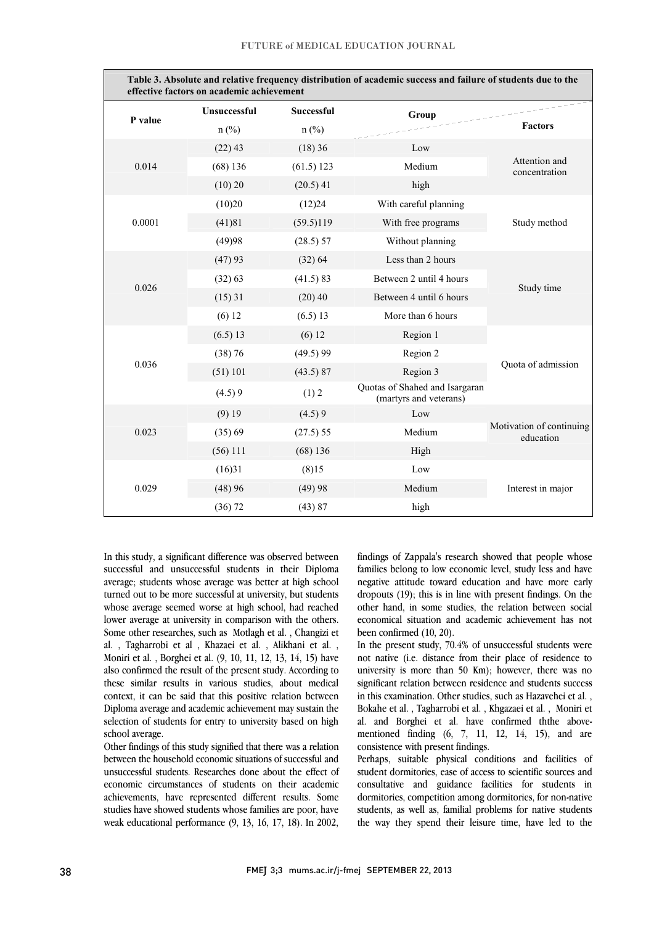| Table 3. Absolute and relative frequency distribution of academic success and failure of students due to the<br>effective factors on academic achievement |                     |                   |                                                          |                                       |  |  |  |
|-----------------------------------------------------------------------------------------------------------------------------------------------------------|---------------------|-------------------|----------------------------------------------------------|---------------------------------------|--|--|--|
| P value                                                                                                                                                   | <b>Unsuccessful</b> | <b>Successful</b> | Group                                                    |                                       |  |  |  |
|                                                                                                                                                           | $n$ (%)             | $n$ (%)           |                                                          | <b>Factors</b>                        |  |  |  |
| 0.014                                                                                                                                                     | $(22)$ 43           | (18)36            | Low                                                      | Attention and<br>concentration        |  |  |  |
|                                                                                                                                                           | $(68)$ 136          | (61.5) 123        | Medium                                                   |                                       |  |  |  |
|                                                                                                                                                           | (10) 20             | $(20.5)$ 41       | high                                                     |                                       |  |  |  |
| 0.0001                                                                                                                                                    | (10)20              | (12)24            | With careful planning                                    | Study method                          |  |  |  |
|                                                                                                                                                           | (41)81              | (59.5)119         | With free programs                                       |                                       |  |  |  |
|                                                                                                                                                           | (49)98              | (28.5) 57         | Without planning                                         |                                       |  |  |  |
|                                                                                                                                                           | (47)93              | (32) 64           | Less than 2 hours                                        | Study time                            |  |  |  |
| 0.026                                                                                                                                                     | (32) 63             | (41.5) 83         | Between 2 until 4 hours                                  |                                       |  |  |  |
|                                                                                                                                                           | $(15)$ 31           | (20)40            | Between 4 until 6 hours                                  |                                       |  |  |  |
|                                                                                                                                                           | (6) 12              | (6.5) 13          | More than 6 hours                                        |                                       |  |  |  |
|                                                                                                                                                           | (6.5) 13            | (6) 12            | Region 1                                                 | Quota of admission                    |  |  |  |
|                                                                                                                                                           | (38) 76             | (49.5)99          | Region 2                                                 |                                       |  |  |  |
| 0.036                                                                                                                                                     | (51) 101            | (43.5) 87         | Region 3                                                 |                                       |  |  |  |
|                                                                                                                                                           | (4.5)9              | (1) 2             | Quotas of Shahed and Isargaran<br>(martyrs and veterans) |                                       |  |  |  |
| 0.023                                                                                                                                                     | $(9)$ 19            | (4.5)9            | Low                                                      | Motivation of continuing<br>education |  |  |  |
|                                                                                                                                                           | (35)69              | (27.5) 55         | Medium                                                   |                                       |  |  |  |
|                                                                                                                                                           | $(56)$ 111          | $(68)$ 136        | High                                                     |                                       |  |  |  |
| 0.029                                                                                                                                                     | (16)31              | (8)15             | Low                                                      |                                       |  |  |  |
|                                                                                                                                                           | (48)96              | (49)98            | Medium                                                   | Interest in major                     |  |  |  |
|                                                                                                                                                           | (36) 72             | (43) 87           | high                                                     |                                       |  |  |  |

 In this study, a significant difference was observed between average; students whose average was better at high school turned out to be more successful at university, but students whose average seemed worse at ingli sendor, had reached lower average at university in comparison with the others. Some other researches, such as Motlagh et al. , Changizi et al. , Tagharrobi et al , Khazaei et al. , Alikhani et al. , Moniri et al. , Borghei et al. (9, 10, 11, 12, 13, 14, 15) have these similar results in various studies, about medical context, it can be said that this positive relation between Diploma average and academic achievement may sustain the selection of students for entry to university based on high successful and unsuccessful students in their Diploma whose average seemed worse at high school, had reached also confirmed the result of the present study. According to school average.

 Other findings of this study signified that there was a relation between the household economic situations of successful and unsuccessful students. Researches done about the effect of achievements, have represented different results. Some studies have showed students whose families are poor, have weak educational performance (9, 13, 16, 17, 18). In 2002, economic circumstances of students on their academic  findings of Zappala's research showed that people whose families belong to low economic level, study less and have negative attitude toward education and have more early dropouts (19); this is in line with present findings. On the economical situation and academic achievement has not other hand, in some studies, the relation between social been confirmed (10, 20).

 In the present study, 70.4% of unsuccessful students were not native (i.e. distance from their place of residence to different relation between residence and students success in this examination. Other studies, such as Hazavehei et al. , Bokahe et al. , Tagharrobi et al. , Khgazaei et al. , Moniri et al. and Borghei et al. have confirmed ththe abovementioned finding  $(6, 7, 11, 12, 14, 15)$ , and are consistence with present findings university is more than 50 Km); however, there was no consistence with present findings.

 Perhaps, suitable physical conditions and facilities of student dormitories, ease of access to scientific sources and consultative and guidance facilities for students in students, as well as, familial problems for native students the way they spend their leisure time, have led to the dormitories, competition among dormitories, for non-native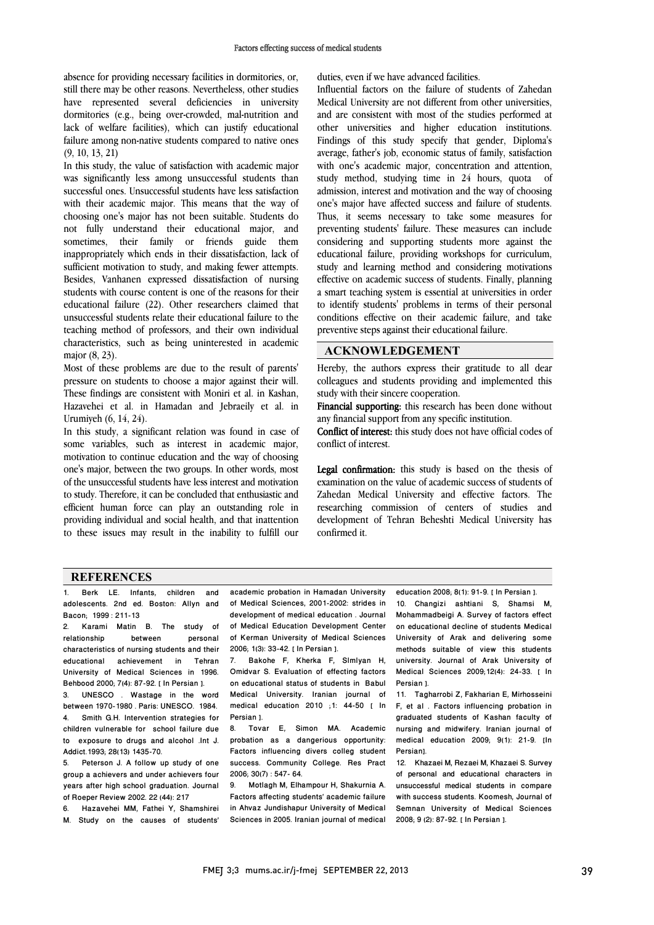absence for providing necessary facilities in dormitories, or, still there may be other reasons. Nevertheless, other studies have represented several deficiencies in university dormitories (e.g., being over-crowded, mal-nutrition and lack of welfare facilities), which can justify educational failure among non-native students compared to native ones (9, 10, 13, 21)

In this study, the value of satisfaction with academic major was significantly less among unsuccessful students than successful ones. Unsuccessful students have less satisfaction with their academic major. This means that the way of choosing one's major has not been suitable. Students do not fully understand their educational major, and sometimes, their family or friends guide them inappropriately which ends in their dissatisfaction, lack of sufficient motivation to study, and making fewer attempts. Besides, Vanhanen expressed dissatisfaction of nursing students with course content is one of the reasons for their educational failure (22). Other researchers claimed that unsuccessful students relate their educational failure to the teaching method of professors, and their own individual characteristics, such as being uninterested in academic major (8, 23).

Most of these problems are due to the result of parents' pressure on students to choose a major against their will. These findings are consistent with Moniri et al. in Kashan, Hazavehei et al. in Hamadan and Jebraeily et al. in Urumiyeh (6, 14, 24).

In this study, a significant relation was found in case of some variables, such as interest in academic major, motivation to continue education and the way of choosing one's major, between the two groups. In other words, most of the unsuccessful students have less interest and motivation to study. Therefore, it can be concluded that enthusiastic and efficient human force can play an outstanding role in providing individual and social health, and that inattention to these issues may result in the inability to fulfill our

duties, even if we have advanced facilities.

Influential factors on the failure of students of Zahedan Medical University are not different from other universities, and are consistent with most of the studies performed at other universities and higher education institutions. Findings of this study specify that gender, Diploma's average, father's job, economic status of family, satisfaction with one's academic major, concentration and attention, study method, studying time in 24 hours, quota of admission, interest and motivation and the way of choosing one's major have affected success and failure of students. Thus, it seems necessary to take some measures for preventing students' failure. These measures can include considering and supporting students more against the educational failure, providing workshops for curriculum, study and learning method and considering motivations effective on academic success of students. Finally, planning a smart teaching system is essential at universities in order to identify students' problems in terms of their personal conditions effective on their academic failure, and take preventive steps against their educational failure.

### **ACKNOWLEDGEMENT**

Hereby, the authors express their gratitude to all dear colleagues and students providing and implemented this study with their sincere cooperation.

Financial supporting: this research has been done without any financial support from any specific institution.

Conflict of interest: this study does not have official codes of conflict of interest.

Legal confirmation: this study is based on the thesis of examination on the value of academic success of students of Zahedan Medical University and effective factors. The researching commission of centers of studies and development of Tehran Beheshti Medical University has confirmed it.

### **REFERENCES**

1. Berk LE. Infants, children and adolescents. 2nd ed. Boston: Allyn and Bacon; 1999 : 211-13

2. Karami Matin B. The study of relationship between personal characteristics of nursing students and their educational achievement in Tehran University of Medical Sciences in 1996. Behbood 2000; 7(4): 87-92. [ In Persian ].

3. UNESCO . Wastage in the word between 1970-1980 . Paris: UNESCO. 1984. 4. Smith G.H. Intervention strategies for children vulnerable for school failure due to exposure to drugs and alcohol .Int J. Addict.1993; 28(13) 1435-70.

5. Peterson J. A follow up study of one group a achievers and under achievers four years after high school graduation. Journal of Roeper Review 2002. 22 (44): 217

6. Hazavehei MM, Fathei Y, Shamshirei M. Study on the causes of students' academic probation in Hamadan University of Medical Sciences, 2001-2002: strides in development of medical education . Journal of Medical Education Development Center of Kerman University of Medical Sciences 2006; 1(3): 33-42. [ In Persian ].

7. Bakohe F, Kherka F, Slmlyan H, Omidvar S. Evaluation of effecting factors on educational status of students in Babul Medical University. Iranian journal of medical education 2010 ;1: 44-50 [ In Persian ].

8. Tovar E, Simon MA. Academic probation as a dangerious opportunity: Factors influencing divers colleg student success. Community College. Res Pract 2006; 30(7) : 547- 64.

9. Motlagh M, Elhampour H, Shakurnia A. Factors affecting students' academic failure in Ahvaz Jundishapur University of Medical Sciences in 2005. Iranian journal of medical

education 2008; 8(1): 91-9. [ In Persian ]. 10. Changizi ashtiani S, Shamsi M, Mohammadbeigi A. Survey of factors effect on educational decline of students Medical University of Arak and delivering some methods suitable of view this students university. Journal of Arak University of Medical Sciences 2009;12(4): 24-33. [ In Persian ].

11. Tagharrobi Z, Fakharian E, Mirhosseini F, et al . Factors influencing probation in graduated students of Kashan faculty of nursing and midwifery. Iranian journal of medical education 2009; 9(1): 21-9. [In Persian].

12. Khazaei M, Rezaei M, Khazaei S. Survey of personal and educational characters in unsuccessful medical students in compare with success students. Koomesh, Journal of Semnan University of Medical Sciences 2008; 9 (2): 87-92. [ In Persian 1.